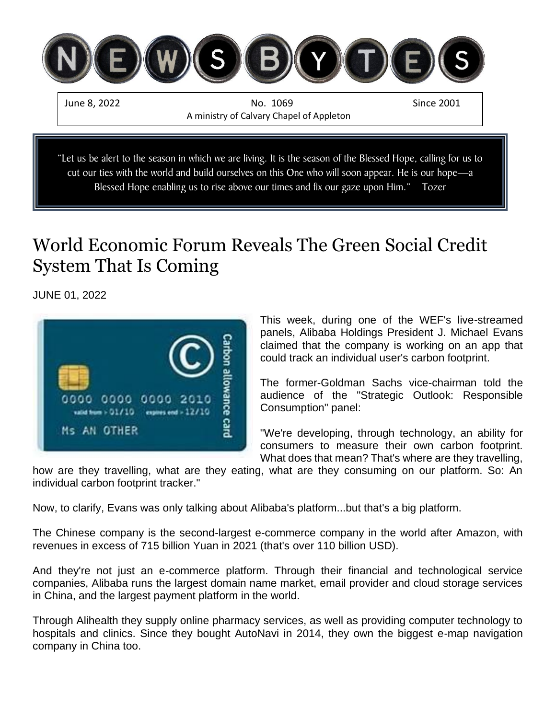

# World Economic Forum Reveals The Green Social Credit System That Is Coming

JUNE 01, 2022



This week, during one of the WEF's live-streamed panels, Alibaba Holdings President J. Michael Evans claimed that the company is working on an app that could track an individual user's carbon footprint.

The former-Goldman Sachs vice-chairman told the audience of the "Strategic Outlook: Responsible Consumption" panel:

"We're developing, through technology, an ability for consumers to measure their own carbon footprint. What does that mean? That's where are they travelling,

how are they travelling, what are they eating, what are they consuming on our platform. So: An individual carbon footprint tracker."

Now, to clarify, Evans was only talking about Alibaba's platform...but that's a big platform.

The Chinese company is the second-largest e-commerce company in the world after Amazon, with revenues in excess of 715 billion Yuan in 2021 (that's over 110 billion USD).

And they're not just an e-commerce platform. Through their financial and technological service companies, Alibaba runs the largest domain name market, email provider and cloud storage services in China, and the largest payment platform in the world.

Through Alihealth they supply online pharmacy services, as well as providing computer technology to hospitals and clinics. Since they bought AutoNavi in 2014, they own the biggest e-map navigation company in China too.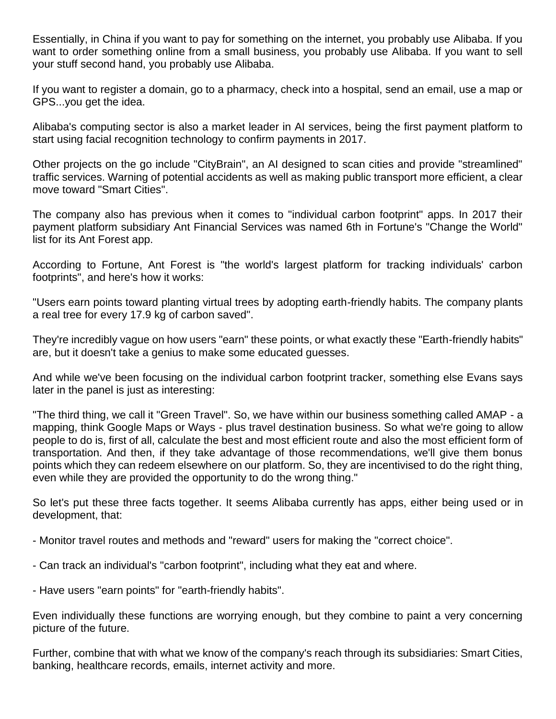Essentially, in China if you want to pay for something on the internet, you probably use Alibaba. If you want to order something online from a small business, you probably use Alibaba. If you want to sell your stuff second hand, you probably use Alibaba.

If you want to register a domain, go to a pharmacy, check into a hospital, send an email, use a map or GPS...you get the idea.

Alibaba's computing sector is also a market leader in AI services, being the first payment platform to start using facial recognition technology to confirm payments in 2017.

Other projects on the go include "CityBrain", an AI designed to scan cities and provide "streamlined" traffic services. Warning of potential accidents as well as making public transport more efficient, a clear move toward "Smart Cities".

The company also has previous when it comes to "individual carbon footprint" apps. In 2017 their payment platform subsidiary Ant Financial Services was named 6th in Fortune's "Change the World" list for its Ant Forest app.

According to Fortune, Ant Forest is "the world's largest platform for tracking individuals' carbon footprints", and here's how it works:

"Users earn points toward planting virtual trees by adopting earth-friendly habits. The company plants a real tree for every 17.9 kg of carbon saved".

They're incredibly vague on how users "earn" these points, or what exactly these "Earth-friendly habits" are, but it doesn't take a genius to make some educated guesses.

And while we've been focusing on the individual carbon footprint tracker, something else Evans says later in the panel is just as interesting:

"The third thing, we call it "Green Travel". So, we have within our business something called AMAP - a mapping, think Google Maps or Ways - plus travel destination business. So what we're going to allow people to do is, first of all, calculate the best and most efficient route and also the most efficient form of transportation. And then, if they take advantage of those recommendations, we'll give them bonus points which they can redeem elsewhere on our platform. So, they are incentivised to do the right thing, even while they are provided the opportunity to do the wrong thing."

So let's put these three facts together. It seems Alibaba currently has apps, either being used or in development, that:

- Monitor travel routes and methods and "reward" users for making the "correct choice".
- Can track an individual's "carbon footprint", including what they eat and where.

- Have users "earn points" for "earth-friendly habits".

Even individually these functions are worrying enough, but they combine to paint a very concerning picture of the future.

Further, combine that with what we know of the company's reach through its subsidiaries: Smart Cities, banking, healthcare records, emails, internet activity and more.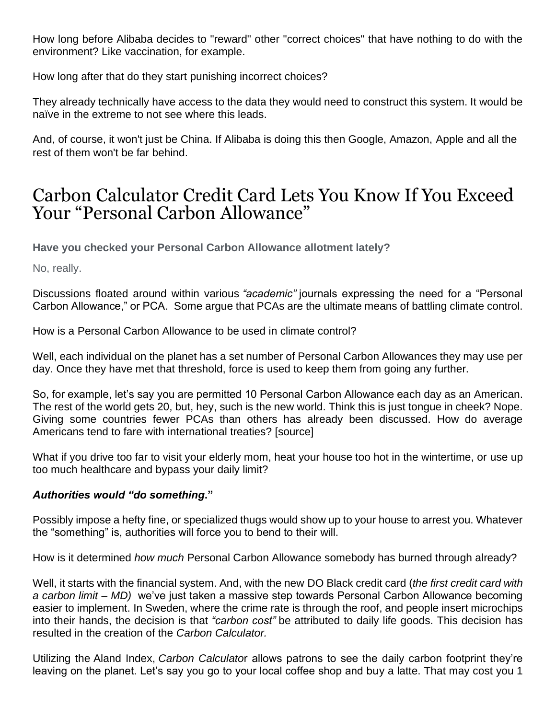How long before Alibaba decides to "reward" other "correct choices" that have nothing to do with the environment? Like vaccination, for example.

How long after that do they start punishing incorrect choices?

They already technically have access to the data they would need to construct this system. It would be naïve in the extreme to not see where this leads.

And, of course, it won't just be China. If Alibaba is doing this then Google, Amazon, Apple and all the rest of them won't be far behind.

## Carbon Calculator Credit Card Lets You Know If You Exceed Your "Personal Carbon Allowance"

**Have you checked your Personal Carbon Allowance allotment lately?**

No, really.

Discussions floated around within various *"academic"* journals expressing the need for a "Personal Carbon Allowance," or PCA. Some argue that PCAs are the ultimate means of battling climate control.

How is a Personal Carbon Allowance to be used in climate control?

Well, each individual on the planet has a set number of Personal Carbon Allowances they may use per day. Once they have met that threshold, force is used to keep them from going any further.

So, for example, let's say you are permitted 10 Personal Carbon Allowance each day as an American. The rest of the world gets 20, but, hey, such is the new world. Think this is just tongue in cheek? Nope. Giving some countries fewer PCAs than others has already been discussed. How do average Americans tend to fare with international treaties? [\[source\]](https://www.insidehook.com/daily_brief/finance/doconomy-mastercard-climate-change-carbon-limit-credit-card)

What if you drive too far to visit your elderly mom, heat your house too hot in the wintertime, or use up too much healthcare and bypass your daily limit?

#### *Authorities would "do something***."**

Possibly impose a hefty fine, or specialized thugs would show up to your house to arrest you. Whatever the "something" is, authorities will force you to bend to their will.

How is it determined *how much* Personal Carbon Allowance somebody has burned through already?

Well, it starts with the financial system. And, with the new [DO Black credit card](https://campaignsoftheworld.com/technology/doconomy-do-black-credit-card/) (*the first credit card with a carbon limit – MD)* we've just taken a massive step towards Personal Carbon Allowance becoming easier to implement. In Sweden, where the [crime rate is through the roof,](https://thefederalist.com/2017/03/01/yes-violent-crime-spiked-sweden-since-open-immigration/) and people insert microchips into their hands, the decision is that *"carbon cost"* be attributed to daily life goods. This decision has resulted in the creation of the *[Carbon Calculator.](https://www.carbonfootprint.com/calculator.aspx)*

Utilizing the [Aland Index,](https://alandindexsolutions.com/) *Carbon Calculato*r allows patrons to see the daily carbon footprint they're leaving on the planet. Let's say you go to your local coffee shop and buy a latte. That may cost you 1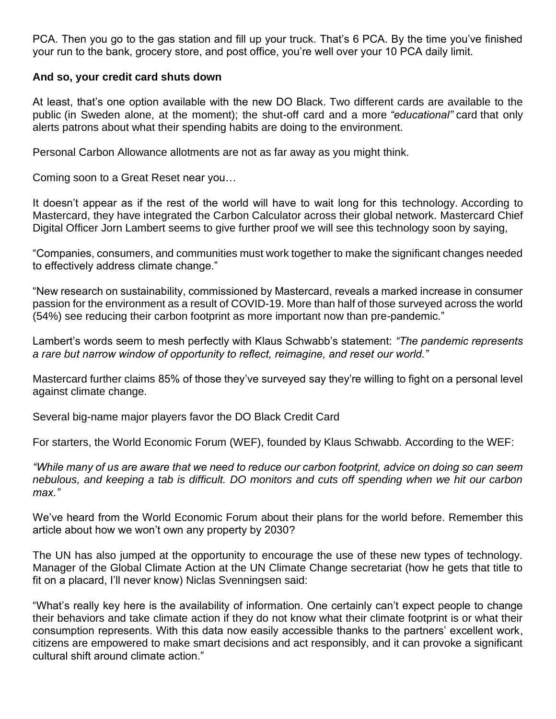PCA. Then you go to the gas station and fill up your truck. That's 6 PCA. By the time you've finished your run to the bank, grocery store, and post office, you're well over your 10 PCA daily limit.

#### **And so, your credit card shuts down**

At least, that's one option available with the new DO Black. [Two different cards are available to the](https://www.insidehook.com/daily_brief/finance/doconomy-mastercard-climate-change-carbon-limit-credit-card)  [public](https://www.insidehook.com/daily_brief/finance/doconomy-mastercard-climate-change-carbon-limit-credit-card) (in Sweden alone, at the moment); the shut-off card and a more *["educational"](https://doconomy.com/doeverydayclimateaction/)* card that only alerts patrons about what their spending habits are doing to the environment.

Personal Carbon Allowance allotments are not as far away as you might think.

Coming soon to [a Great Reset](https://www.theorganicprepper.com/great-reset/) near you…

It doesn't appear as if the rest of the world will have to wait long for this technology. [According to](https://www.mastercard.com/news/press/2021/april/mastercard-unveils-new-carbon-calculator-tool)  [Mastercard,](https://www.mastercard.com/news/press/2021/april/mastercard-unveils-new-carbon-calculator-tool) they have integrated the Carbon Calculator across their global network. [Mastercard Chief](https://www.mastercard.com/news/press/2021/april/mastercard-unveils-new-carbon-calculator-tool/)  [Digital Officer Jorn Lambert](https://www.mastercard.com/news/press/2021/april/mastercard-unveils-new-carbon-calculator-tool/) seems to give further proof we will see this technology soon by saying,

"Companies, consumers, and communities must work together to make the significant changes needed to effectively address climate change."

"New research on sustainability, commissioned by Mastercard, reveals a marked increase in consumer passion for the environment as a result of COVID-19. More than half of those surveyed across the world (54%) see reducing their carbon footprint as more important now than pre-pandemic."

Lambert's words seem to mesh perfectly with Klaus Schwabb's statement: *"The pandemic represents a rare but narrow window of opportunity to reflect, reimagine, and reset our world."*

Mastercard further claims [85% of those they've surveyed](https://www.mastercard.com/news/press/2021/april/mastercard-unveils-new-carbon-calculator-tool/) say they're willing to fight on a personal level against climate change.

Several big-name major players favor the DO Black Credit Card

For starters, the [World Economic Forum](https://www.theorganicprepper.com/great-reset/) (WEF), founded by Klaus Schwabb. [According to the WEF:](https://www.climatedepot.com/2021/09/13/new-co2-monitoring-credit-card-enables-tracking-of-carbon-footprint-on-every-purchase-monitors-cuts-off-spending-when-we-hit-our-carbon-max-mastercard-un-join-forces/)

*"While many of us are aware that we need to reduce our carbon footprint, advice on doing so can seem nebulous, and keeping a tab is difficult. DO monitors and cuts off spending when we hit our carbon max."*

We've heard from the World Economic Forum about their plans for the world before. [Remember this](https://www.theorganicprepper.com/world-without-personal-property/)  [article about how we won't own any property by 2030?](https://www.theorganicprepper.com/world-without-personal-property/)

The UN has also jumped at the opportunity to encourage the use of these new types of technology. Manager of the Global Climate Action at the UN Climate Change secretariat (how he gets that title to fit on a placard, I'll never know) [Niclas Svenningsen said:](https://www.climatedepot.com/2021/09/13/new-co2-monitoring-credit-card-enables-tracking-of-carbon-footprint-on-every-purchase-monitors-cuts-off-spending-when-we-hit-our-carbon-max-mastercard-un-join-forces/)

"What's really key here is the availability of information. One certainly can't expect people to change their behaviors and take climate action if they do not know what their climate footprint is or what their consumption represents. With this data now easily accessible thanks to the partners' excellent work, citizens are empowered to make smart decisions and act responsibly, and it can provoke a significant cultural shift around climate action."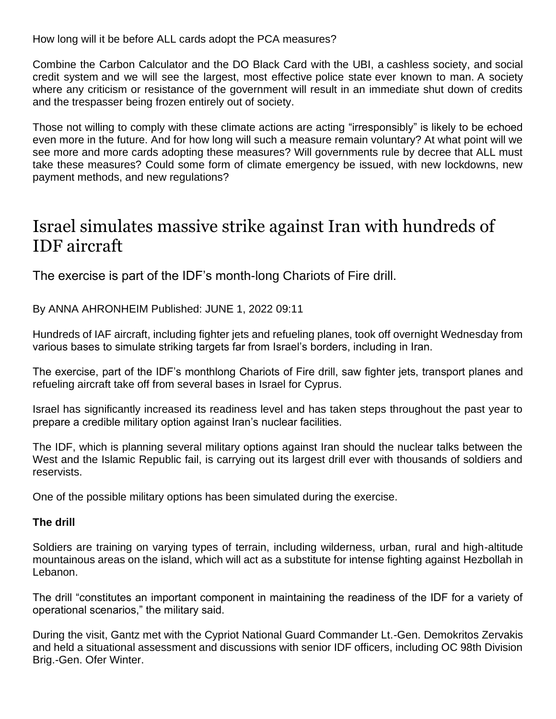How long will it be before ALL cards adopt the PCA measures?

Combine the Carbon Calculator and the DO Black Card with [the UBI,](https://www.theorganicprepper.com/flippy-robot-fry-cook-modern-feudalism/) a [cashless society,](https://www.theorganicprepper.com/social-credit-system-closer/) and [social](https://www.theorganicprepper.com/social-credit-system-coming-to-america/)  [credit system](https://www.theorganicprepper.com/social-credit-system-coming-to-america/) and we will see the largest, most effective [police state](https://www.theorganicprepper.com/slow-burning-societal-control/) ever known to man. A society where any criticism or resistance of the government will result in an immediate shut down of credits and the trespasser being frozen entirely out of society.

Those not willing to comply with these climate actions are acting "irresponsibly" is likely to be echoed even more in the future. And for how long will such a measure remain voluntary? At what point will we see more and more cards adopting these measures? Will governments rule by decree that ALL must take these measures? Could some form of climate emergency be issued, with new lockdowns, new payment methods, and [new regulations?](https://www.irishpost.com/news/irish-grandmother-sentenced-to-90-days-in-jail-for-refusing-to-wear-face-mask-216036)

### Israel simulates massive strike against Iran with hundreds of IDF aircraft

The exercise is part of the IDF's month-long Chariots of Fire drill.

By ANNA AHRONHEIM Published: JUNE 1, 2022 09:11

Hundreds of IAF aircraft, including fighter jets and refueling planes, took off overnight Wednesday from various bases to simulate striking targets far from Israel's borders, including in Iran.

The exercise, part of the IDF's monthlong Chariots of Fire drill, saw fighter jets, transport planes and refueling aircraft take off from several bases in Israel for Cyprus.

Israel has significantly increased its readiness level and has taken steps throughout the past year to prepare a credible military option against Iran's nuclear facilities.

The IDF, which is planning several military options against Iran should the nuclear talks between the West and the Islamic Republic fail, is carrying out its largest drill ever with thousands of soldiers and reservists.

One of the possible military options has been simulated during the exercise.

#### **The drill**

Soldiers are training on varying types of terrain, including wilderness, urban, rural and high-altitude mountainous areas on the island, which will act as a substitute for intense fighting against Hezbollah in Lebanon.

The drill "constitutes an important component in maintaining the readiness of the IDF for a variety of operational scenarios," the military said.

During the visit, Gantz met with the Cypriot National Guard Commander Lt.-Gen. Demokritos Zervakis and held a situational assessment and discussions with senior IDF officers, including OC 98th Division Brig.-Gen. Ofer Winter.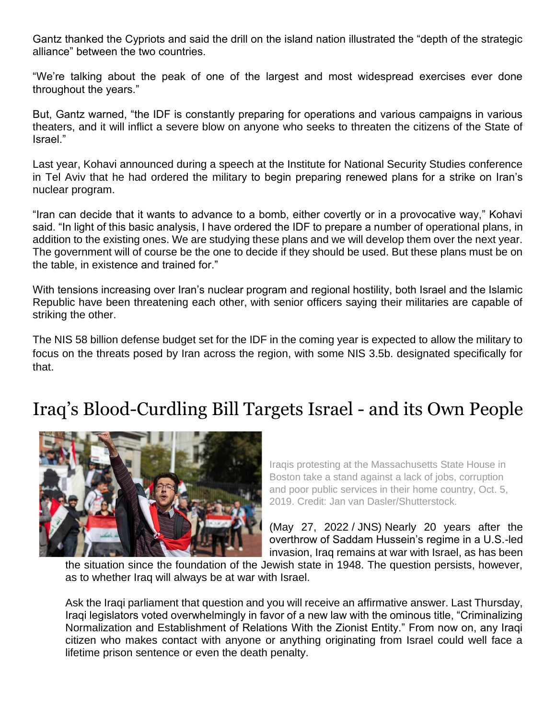Gantz thanked the Cypriots and said the drill on the island nation illustrated the "depth of the strategic alliance" between the two countries.

"We're talking about the peak of one of the largest and most widespread exercises ever done throughout the years."

But, Gantz warned, "the IDF is constantly preparing for operations and various campaigns in various theaters, and it will inflict a severe blow on anyone who seeks to threaten the citizens of the State of Israel."

Last year, Kohavi announced during a speech at the Institute for National Security Studies conference in Tel Aviv that he had ordered the military to begin preparing renewed plans for a strike on Iran's nuclear program.

"Iran can decide that it wants to advance to a bomb, either covertly or in a provocative way," Kohavi said. "In light of this basic analysis, I have ordered the IDF to prepare a number of operational plans, in addition to the existing ones. We are studying these plans and we will develop them over the next year. The government will of course be the one to decide if they should be used. But these plans must be on the table, in existence and trained for."

With tensions increasing over Iran's nuclear program and regional hostility, both Israel and the Islamic Republic have been threatening each other, with senior officers saying their militaries are capable of striking the other.

The NIS 58 billion defense budget set for the IDF in the coming year is expected to allow the military to focus on the threats posed by Iran across the region, with some NIS 3.5b. designated specifically for that.

## Iraq's Blood-Curdling Bill Targets Israel - and its Own People



Iraqis protesting at the Massachusetts State House in Boston take a stand against a lack of jobs, corruption and poor public services in their home country, Oct. 5, 2019. Credit: Jan van Dasler/Shutterstock.

(May 27, 2022 / JNS) Nearly 20 years after the overthrow of Saddam Hussein's regime in a U.S.-led invasion, Iraq remains at war with Israel, as has been

the situation since the foundation of the Jewish state in 1948. The question persists, however, as to whether Iraq will always be at war with Israel.

Ask the Iraqi parliament that question and you will receive an affirmative answer. Last Thursday, Iraqi legislators voted overwhelmingly in favor of a new law with the ominous title, "Criminalizing Normalization and Establishment of Relations With the Zionist Entity." From now on, any Iraqi citizen who makes contact with anyone or anything originating from Israel could well face a lifetime prison sentence or even the death penalty.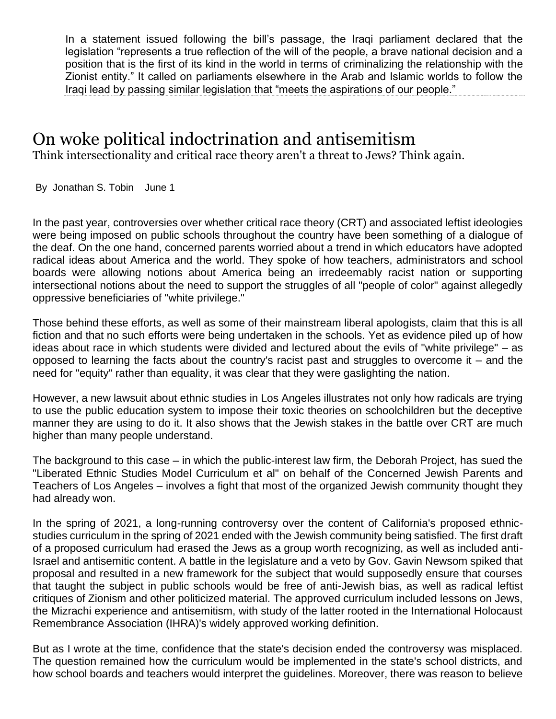In a statement issued following the bill's passage, the Iraqi parliament declared that the legislation "represents a true reflection of the will of the people, a brave national decision and a position that is the first of its kind in the world in terms of criminalizing the relationship with the Zionist entity." It called on parliaments elsewhere in the Arab and Islamic worlds to follow the Iraqi lead by passing similar legislation that "meets the aspirations of our people."

### On woke political indoctrination and antisemitism

Think intersectionality and critical race theory aren't a threat to Jews? Think again.

By Jonathan S. Tobin June 1

In the past year, controversies over whether critical race theory (CRT) and associated leftist ideologies were being imposed on public schools throughout the country have been something of a dialogue of the deaf. On the one hand, concerned parents worried about a trend in which educators have adopted radical ideas about America and the world. They spoke of how teachers, administrators and school boards were allowing notions about America being an irredeemably racist nation or supporting intersectional notions about the need to support the struggles of all "people of color" against allegedly oppressive beneficiaries of "white privilege."

Those behind these efforts, as well as some of their mainstream liberal apologists, claim that this is all fiction and that no such efforts were being undertaken in the schools. Yet as evidence piled up of how ideas about race in which students were divided and lectured about the evils of "white privilege" – as opposed to learning the facts about the country's racist past and struggles to overcome it – and the need for "equity" rather than equality, it was clear that they were gaslighting the nation.

However, a new lawsuit about ethnic studies in Los Angeles illustrates not only how radicals are trying to use the public education system to impose their toxic theories on schoolchildren but the deceptive manner they are using to do it. It also shows that the Jewish stakes in the battle over CRT are much higher than many people understand.

The background to this case – in which the public-interest law firm, the Deborah Project, has sued the "Liberated Ethnic Studies Model Curriculum et al" on behalf of the Concerned Jewish Parents and Teachers of Los Angeles – involves a fight that most of the organized Jewish community thought they had already won.

In the spring of 2021, a long-running controversy over the content of California's proposed ethnicstudies curriculum in the spring of 2021 ended with the Jewish community being satisfied. The first draft of a proposed curriculum had erased the Jews as a group worth recognizing, as well as included anti-Israel and antisemitic content. A battle in the legislature and a veto by Gov. Gavin Newsom spiked that proposal and resulted in a new framework for the subject that would supposedly ensure that courses that taught the subject in public schools would be free of anti-Jewish bias, as well as radical leftist critiques of Zionism and other politicized material. The approved curriculum included lessons on Jews, the Mizrachi experience and antisemitism, with study of the latter rooted in the International Holocaust Remembrance Association (IHRA)'s widely approved working definition.

But as I wrote at the time, confidence that the state's decision ended the controversy was misplaced. The question remained how the curriculum would be implemented in the state's school districts, and how school boards and teachers would interpret the guidelines. Moreover, there was reason to believe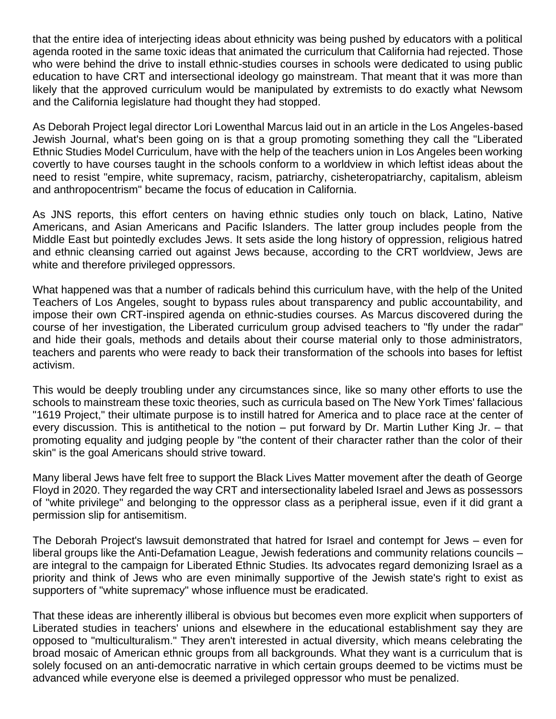that the entire idea of interjecting ideas about ethnicity was being pushed by educators with a political agenda rooted in the same toxic ideas that animated the curriculum that California had rejected. Those who were behind the drive to install ethnic-studies courses in schools were dedicated to using public education to have CRT and intersectional ideology go mainstream. That meant that it was more than likely that the approved curriculum would be manipulated by extremists to do exactly what Newsom and the California legislature had thought they had stopped.

As Deborah Project legal director Lori Lowenthal Marcus laid out in an article in the Los Angeles-based Jewish Journal, what's been going on is that a group promoting something they call the "Liberated Ethnic Studies Model Curriculum, have with the help of the teachers union in Los Angeles been working covertly to have courses taught in the schools conform to a worldview in which leftist ideas about the need to resist "empire, white supremacy, racism, patriarchy, cisheteropatriarchy, capitalism, ableism and anthropocentrism" became the focus of education in California.

As JNS reports, this effort centers on having ethnic studies only touch on black, Latino, Native Americans, and Asian Americans and Pacific Islanders. The latter group includes people from the Middle East but pointedly excludes Jews. It sets aside the long history of oppression, religious hatred and ethnic cleansing carried out against Jews because, according to the CRT worldview, Jews are white and therefore privileged oppressors.

What happened was that a number of radicals behind this curriculum have, with the help of the United Teachers of Los Angeles, sought to bypass rules about transparency and public accountability, and impose their own CRT-inspired agenda on ethnic-studies courses. As Marcus discovered during the course of her investigation, the Liberated curriculum group advised teachers to "fly under the radar" and hide their goals, methods and details about their course material only to those administrators, teachers and parents who were ready to back their transformation of the schools into bases for leftist activism.

This would be deeply troubling under any circumstances since, like so many other efforts to use the schools to mainstream these toxic theories, such as curricula based on The New York Times' fallacious "1619 Project," their ultimate purpose is to instill hatred for America and to place race at the center of every discussion. This is antithetical to the notion – put forward by Dr. Martin Luther King Jr. – that promoting equality and judging people by "the content of their character rather than the color of their skin" is the goal Americans should strive toward.

Many liberal Jews have felt free to support the Black Lives Matter movement after the death of George Floyd in 2020. They regarded the way CRT and intersectionality labeled Israel and Jews as possessors of "white privilege" and belonging to the oppressor class as a peripheral issue, even if it did grant a permission slip for antisemitism.

The Deborah Project's lawsuit demonstrated that hatred for Israel and contempt for Jews – even for liberal groups like the Anti-Defamation League, Jewish federations and community relations councils – are integral to the campaign for Liberated Ethnic Studies. Its advocates regard demonizing Israel as a priority and think of Jews who are even minimally supportive of the Jewish state's right to exist as supporters of "white supremacy" whose influence must be eradicated.

That these ideas are inherently illiberal is obvious but becomes even more explicit when supporters of Liberated studies in teachers' unions and elsewhere in the educational establishment say they are opposed to "multiculturalism." They aren't interested in actual diversity, which means celebrating the broad mosaic of American ethnic groups from all backgrounds. What they want is a curriculum that is solely focused on an anti-democratic narrative in which certain groups deemed to be victims must be advanced while everyone else is deemed a privileged oppressor who must be penalized.